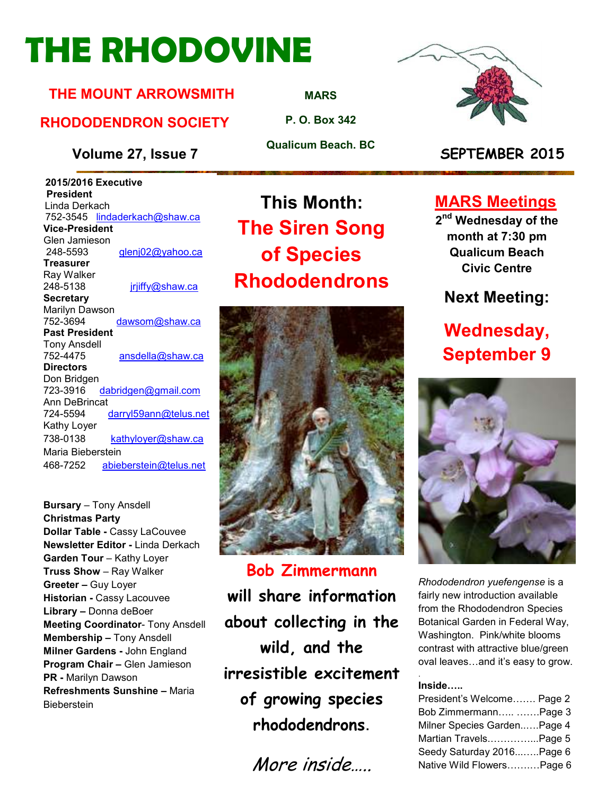# **THE RHODOVINE**

#### **THE MOUNT ARROWSMITH**

#### **RHODODENDRON SOCIETY**

**Volume 27, Issue 7 SEPTEMBER 2015**

 **2015/2016 Executive President**  Linda Derkach 752-3545 lindaderkach@shaw.ca **Vice-President**  Glen Jamieson 248-5593 glenj02@yahoo.ca **Treasurer**  Ray Walker 248-5138 jrjiffy@shaw.ca **Secretary** Marilyn Dawson 752-3694 dawsom@shaw.ca **Past President**  Tony Ansdell 752-4475 ansdella@shaw.ca **Directors**  Don Bridgen 723-3916 dabridgen@gmail.com Ann DeBrincat<br>724-5594 darryl59ann@telus.net Kathy Loyer 738-0138 kathyloyer@shaw.ca Maria Bieberstein 468-7252 abieberstein@telus.net

**Bursary** – Tony Ansdell **Christmas Party Dollar Table -** Cassy LaCouvee **Newsletter Editor -** Linda Derkach **Garden Tour** – Kathy Loyer **Truss Show** – Ray Walker **Greeter –** Guy Loyer **Historian -** Cassy Lacouvee **Library –** Donna deBoer **Meeting Coordinator- Tony Ansdell Membership –** Tony Ansdell **Milner Gardens -** John England **Program Chair –** Glen Jamieson **PR -** Marilyn Dawson **Refreshments Sunshine –** Maria Bieberstein

**MARS**

**P. O. Box 342** 

**Qualicum Beach. BC** 

**This Month: The Siren Song of Species Rhododendrons** 



**Bob Zimmermann will share information about collecting in the wild, and the irresistible excitement of growing species rhododendrons**.

More inside



#### **MARS Meetings**

**2 nd Wednesday of the month at 7:30 pm Qualicum Beach Civic Centre** 

#### **Next Meeting:**

### **Wednesday, September 9**



*Rhododendron yuefengense* is a fairly new introduction available from the Rhododendron Species Botanical Garden in Federal Way, Washington. Pink/white blooms contrast with attractive blue/green oval leaves...and it's easy to grow.

#### . **Inside.....**

| President's Welcome Page 2  |  |
|-----------------------------|--|
| Bob Zimmermann Page 3       |  |
| Milner Species GardenPage 4 |  |
| Martian TravelsPage 5       |  |
| Seedy Saturday 2016Page 6   |  |
| Native Wild FlowersPage 6   |  |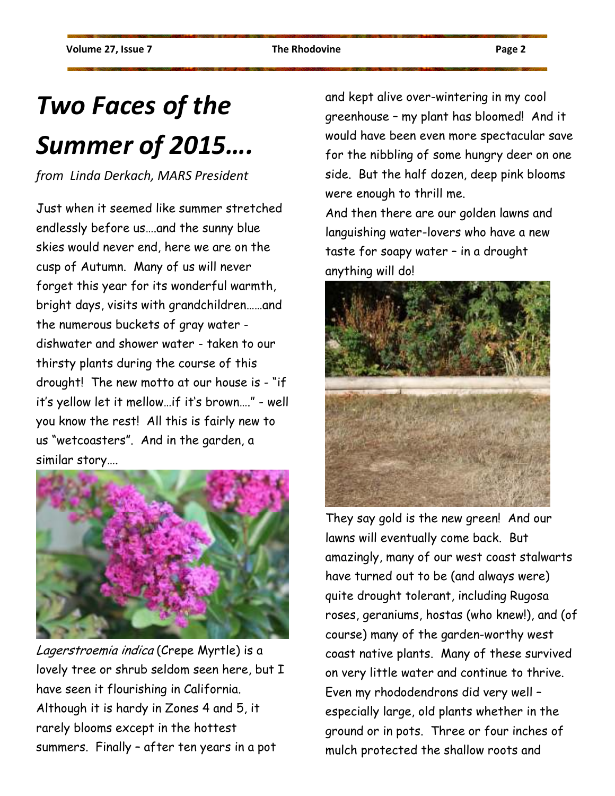## *Two Faces of the Summer of 2015….*

*from Linda Derkach, MARS President* 

Just when it seemed like summer stretched endlessly before us….and the sunny blue skies would never end, here we are on the cusp of Autumn. Many of us will never forget this year for its wonderful warmth, bright days, visits with grandchildren……and the numerous buckets of gray water dishwater and shower water - taken to our thirsty plants during the course of this drought! The new motto at our house is - "if it's yellow let it mellow…if it's brown…." - well you know the rest! All this is fairly new to us "wetcoasters". And in the garden, a similar story….



Lagerstroemia indica (Crepe Myrtle) is a lovely tree or shrub seldom seen here, but I have seen it flourishing in California. Although it is hardy in Zones 4 and 5, it rarely blooms except in the hottest summers. Finally – after ten years in a pot

and kept alive over-wintering in my cool greenhouse – my plant has bloomed! And it would have been even more spectacular save for the nibbling of some hungry deer on one side. But the half dozen, deep pink blooms were enough to thrill me.

And then there are our golden lawns and languishing water-lovers who have a new taste for soapy water – in a drought anything will do!



They say gold is the new green! And our lawns will eventually come back. But amazingly, many of our west coast stalwarts have turned out to be (and always were) quite drought tolerant, including Rugosa roses, geraniums, hostas (who knew!), and (of course) many of the garden-worthy west coast native plants. Many of these survived on very little water and continue to thrive. Even my rhododendrons did very well – especially large, old plants whether in the ground or in pots. Three or four inches of mulch protected the shallow roots and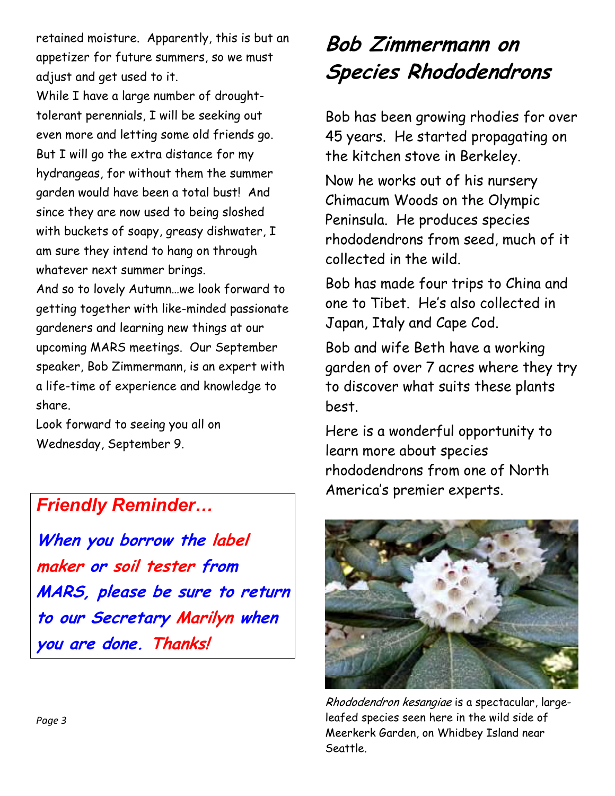retained moisture. Apparently, this is but an appetizer for future summers, so we must adjust and get used to it.

While I have a large number of droughttolerant perennials, I will be seeking out even more and letting some old friends go. But I will go the extra distance for my hydrangeas, for without them the summer garden would have been a total bust! And since they are now used to being sloshed with buckets of soapy, greasy dishwater, I am sure they intend to hang on through whatever next summer brings.

And so to lovely Autumn…we look forward to getting together with like-minded passionate gardeners and learning new things at our upcoming MARS meetings. Our September speaker, Bob Zimmermann, is an expert with a life-time of experience and knowledge to share.

Look forward to seeing you all on Wednesday, September 9.

#### *Friendly Reminder*

**When you borrow the label maker or soil tester from MARS, please be sure to return to our Secretary Marilyn when you are done. Thanks!** 

### **Bob Zimmermann on Species Rhododendrons**

Bob has been growing rhodies for over 45 years. He started propagating on the kitchen stove in Berkeley.

Now he works out of his nursery Chimacum Woods on the Olympic Peninsula. He produces species rhododendrons from seed, much of it collected in the wild.

Bob has made four trips to China and one to Tibet. He's also collected in Japan, Italy and Cape Cod.

Bob and wife Beth have a working garden of over 7 acres where they try to discover what suits these plants best.

Here is a wonderful opportunity to learn more about species rhododendrons from one of North America's premier experts.



Rhododendron kesangiae is a spectacular, largeleafed species seen here in the wild side of Meerkerk Garden, on Whidbey Island near Seattle.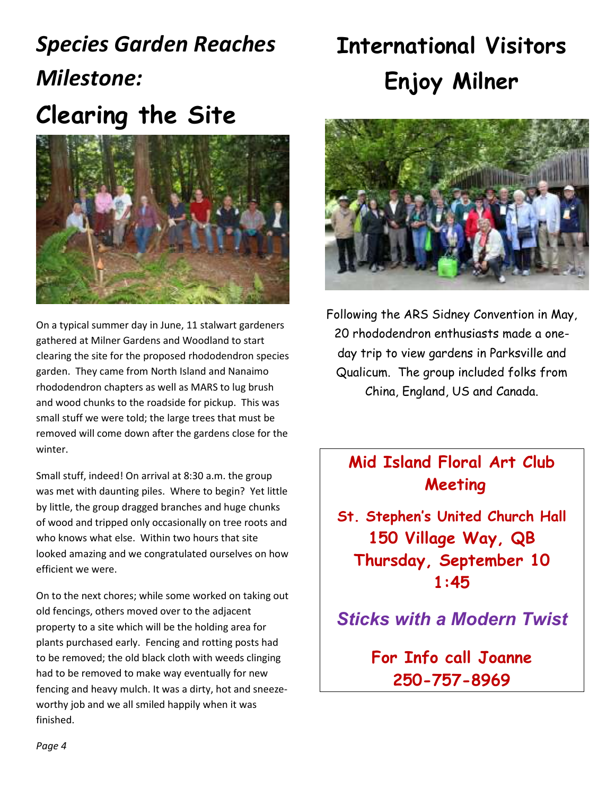### *Species Garden Reaches Milestone:*

### **Clearing the Site**



On a typical summer day in June, 11 stalwart gardeners gathered at Milner Gardens and Woodland to start clearing the site for the proposed rhododendron species garden. They came from North Island and Nanaimo rhododendron chapters as well as MARS to lug brush and wood chunks to the roadside for pickup. This was small stuff we were told; the large trees that must be removed will come down after the gardens close for the winter.

Small stuff, indeed! On arrival at 8:30 a.m. the group was met with daunting piles. Where to begin? Yet little by little, the group dragged branches and huge chunks of wood and tripped only occasionally on tree roots and who knows what else. Within two hours that site looked amazing and we congratulated ourselves on how efficient we were.

On to the next chores; while some worked on taking out old fencings, others moved over to the adjacent property to a site which will be the holding area for plants purchased early. Fencing and rotting posts had to be removed; the old black cloth with weeds clinging had to be removed to make way eventually for new fencing and heavy mulch. It was a dirty, hot and sneezeworthy job and we all smiled happily when it was finished.

## **International Visitors Enjoy Milner**



Following the ARS Sidney Convention in May, 20 rhododendron enthusiasts made a oneday trip to view gardens in Parksville and Qualicum. The group included folks from China, England, US and Canada.

#### **Mid Island Floral Art Club Meeting**

**St. Stephen's United Church Hall 150 Village Way, QB Thursday, September 10 1:45** 

*Sticks with a Modern Twist* 

**For Info call Joanne 250-757-8969**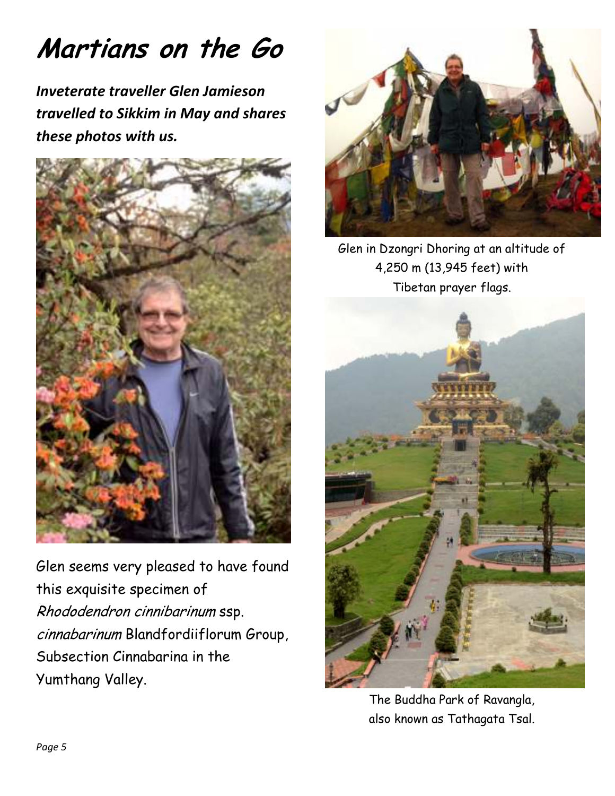### **Martians on the Go**

*Inveterate traveller Glen Jamieson travelled to Sikkim in May and shares these photos with us.* 



Glen seems very pleased to have found this exquisite specimen of Rhododendron cinnibarinum ssp. cinnabarinum Blandfordiiflorum Group, Subsection Cinnabarina in the Yumthang Valley.



Glen in Dzongri Dhoring at an altitude of 4,250 m (13,945 feet) with Tibetan prayer flags.



The Buddha Park of Ravangla, also known as Tathagata Tsal.